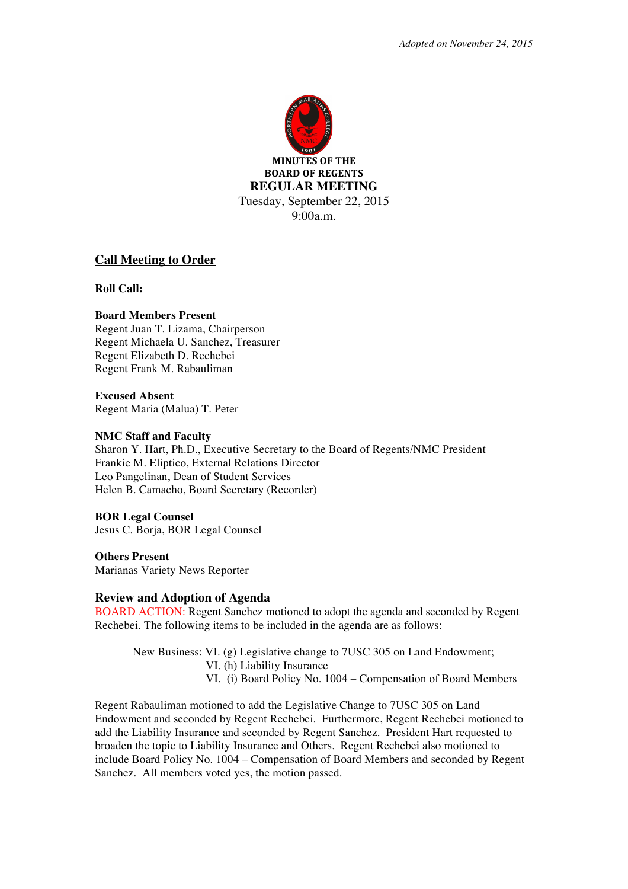

**MINUTES OF THE BOARD OF REGENTS REGULAR MEETING** Tuesday, September 22, 2015 9:00a.m.

### **Call Meeting to Order**

**Roll Call:**

### **Board Members Present**

Regent Juan T. Lizama, Chairperson Regent Michaela U. Sanchez, Treasurer Regent Elizabeth D. Rechebei Regent Frank M. Rabauliman

**Excused Absent** Regent Maria (Malua) T. Peter

#### **NMC Staff and Faculty**

Sharon Y. Hart, Ph.D., Executive Secretary to the Board of Regents/NMC President Frankie M. Eliptico, External Relations Director Leo Pangelinan, Dean of Student Services Helen B. Camacho, Board Secretary (Recorder)

**BOR Legal Counsel**  Jesus C. Borja, BOR Legal Counsel

**Others Present** Marianas Variety News Reporter

# **Review and Adoption of Agenda**

BOARD ACTION: Regent Sanchez motioned to adopt the agenda and seconded by Regent Rechebei. The following items to be included in the agenda are as follows:

New Business: VI. (g) Legislative change to 7USC 305 on Land Endowment; VI. (h) Liability Insurance VI. (i) Board Policy No. 1004 – Compensation of Board Members

Regent Rabauliman motioned to add the Legislative Change to 7USC 305 on Land Endowment and seconded by Regent Rechebei. Furthermore, Regent Rechebei motioned to add the Liability Insurance and seconded by Regent Sanchez. President Hart requested to broaden the topic to Liability Insurance and Others. Regent Rechebei also motioned to include Board Policy No. 1004 – Compensation of Board Members and seconded by Regent Sanchez. All members voted yes, the motion passed.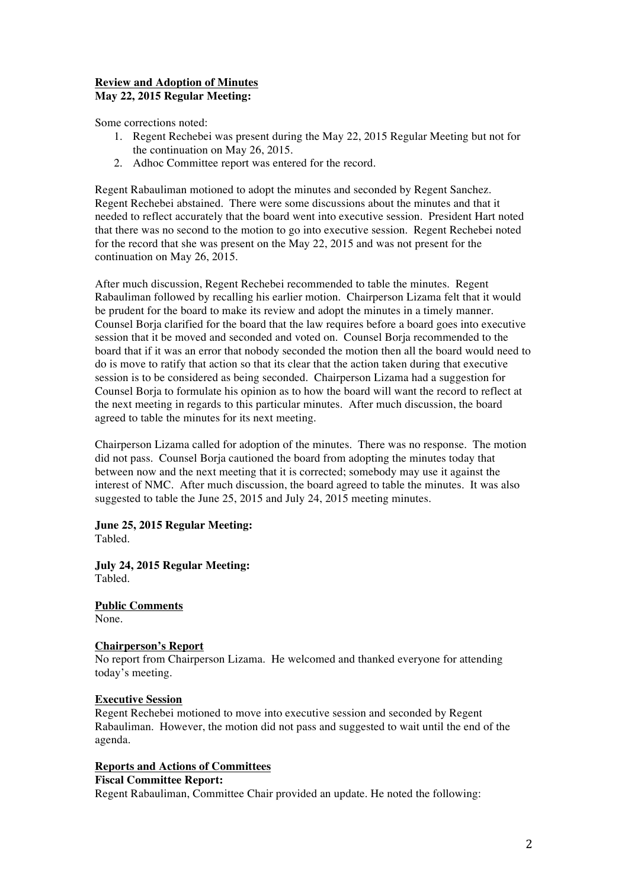## **Review and Adoption of Minutes May 22, 2015 Regular Meeting:**

Some corrections noted:

- 1. Regent Rechebei was present during the May 22, 2015 Regular Meeting but not for the continuation on May 26, 2015.
- 2. Adhoc Committee report was entered for the record.

Regent Rabauliman motioned to adopt the minutes and seconded by Regent Sanchez. Regent Rechebei abstained. There were some discussions about the minutes and that it needed to reflect accurately that the board went into executive session. President Hart noted that there was no second to the motion to go into executive session. Regent Rechebei noted for the record that she was present on the May 22, 2015 and was not present for the continuation on May 26, 2015.

After much discussion, Regent Rechebei recommended to table the minutes. Regent Rabauliman followed by recalling his earlier motion. Chairperson Lizama felt that it would be prudent for the board to make its review and adopt the minutes in a timely manner. Counsel Borja clarified for the board that the law requires before a board goes into executive session that it be moved and seconded and voted on. Counsel Borja recommended to the board that if it was an error that nobody seconded the motion then all the board would need to do is move to ratify that action so that its clear that the action taken during that executive session is to be considered as being seconded. Chairperson Lizama had a suggestion for Counsel Borja to formulate his opinion as to how the board will want the record to reflect at the next meeting in regards to this particular minutes. After much discussion, the board agreed to table the minutes for its next meeting.

Chairperson Lizama called for adoption of the minutes. There was no response. The motion did not pass. Counsel Borja cautioned the board from adopting the minutes today that between now and the next meeting that it is corrected; somebody may use it against the interest of NMC. After much discussion, the board agreed to table the minutes. It was also suggested to table the June 25, 2015 and July 24, 2015 meeting minutes.

### **June 25, 2015 Regular Meeting:**

Tabled.

**July 24, 2015 Regular Meeting:** Tabled.

**Public Comments**  None.

### **Chairperson's Report**

No report from Chairperson Lizama. He welcomed and thanked everyone for attending today's meeting.

#### **Executive Session**

Regent Rechebei motioned to move into executive session and seconded by Regent Rabauliman. However, the motion did not pass and suggested to wait until the end of the agenda.

### **Reports and Actions of Committees**

#### **Fiscal Committee Report:**

Regent Rabauliman, Committee Chair provided an update. He noted the following: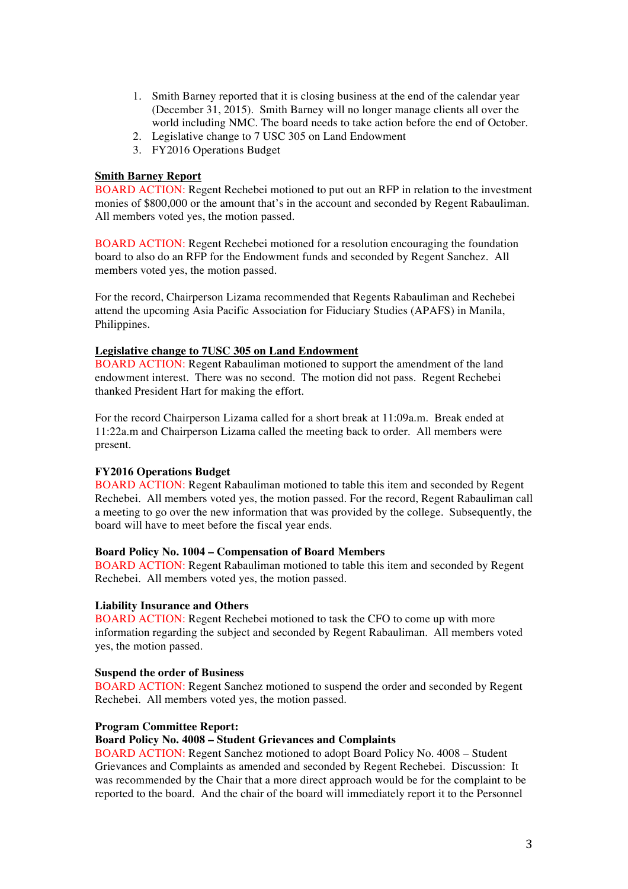- 1. Smith Barney reported that it is closing business at the end of the calendar year (December 31, 2015). Smith Barney will no longer manage clients all over the world including NMC. The board needs to take action before the end of October.
- 2. Legislative change to 7 USC 305 on Land Endowment
- 3. FY2016 Operations Budget

#### **Smith Barney Report**

BOARD ACTION: Regent Rechebei motioned to put out an RFP in relation to the investment monies of \$800,000 or the amount that's in the account and seconded by Regent Rabauliman. All members voted yes, the motion passed.

BOARD ACTION: Regent Rechebei motioned for a resolution encouraging the foundation board to also do an RFP for the Endowment funds and seconded by Regent Sanchez. All members voted yes, the motion passed.

For the record, Chairperson Lizama recommended that Regents Rabauliman and Rechebei attend the upcoming Asia Pacific Association for Fiduciary Studies (APAFS) in Manila, Philippines.

#### **Legislative change to 7USC 305 on Land Endowment**

BOARD ACTION: Regent Rabauliman motioned to support the amendment of the land endowment interest. There was no second. The motion did not pass. Regent Rechebei thanked President Hart for making the effort.

For the record Chairperson Lizama called for a short break at 11:09a.m. Break ended at 11:22a.m and Chairperson Lizama called the meeting back to order. All members were present.

#### **FY2016 Operations Budget**

BOARD ACTION: Regent Rabauliman motioned to table this item and seconded by Regent Rechebei. All members voted yes, the motion passed. For the record, Regent Rabauliman call a meeting to go over the new information that was provided by the college. Subsequently, the board will have to meet before the fiscal year ends.

# **Board Policy No. 1004 – Compensation of Board Members**

BOARD ACTION: Regent Rabauliman motioned to table this item and seconded by Regent Rechebei. All members voted yes, the motion passed.

### **Liability Insurance and Others**

BOARD ACTION: Regent Rechebei motioned to task the CFO to come up with more information regarding the subject and seconded by Regent Rabauliman. All members voted yes, the motion passed.

#### **Suspend the order of Business**

BOARD ACTION: Regent Sanchez motioned to suspend the order and seconded by Regent Rechebei. All members voted yes, the motion passed.

#### **Program Committee Report:**

# **Board Policy No. 4008 – Student Grievances and Complaints**

BOARD ACTION: Regent Sanchez motioned to adopt Board Policy No. 4008 – Student Grievances and Complaints as amended and seconded by Regent Rechebei. Discussion: It was recommended by the Chair that a more direct approach would be for the complaint to be reported to the board. And the chair of the board will immediately report it to the Personnel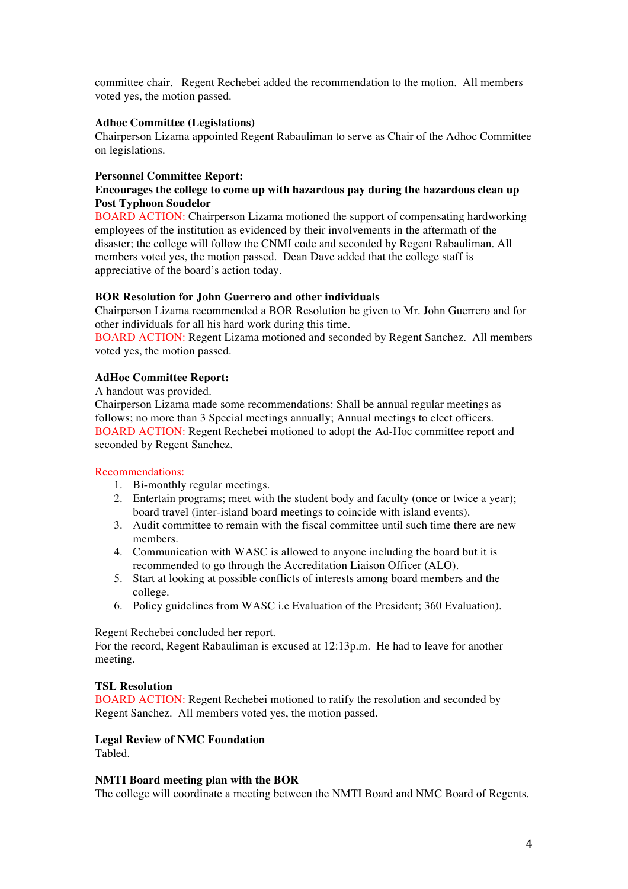committee chair. Regent Rechebei added the recommendation to the motion. All members voted yes, the motion passed.

### **Adhoc Committee (Legislations)**

Chairperson Lizama appointed Regent Rabauliman to serve as Chair of the Adhoc Committee on legislations.

#### **Personnel Committee Report:**

### **Encourages the college to come up with hazardous pay during the hazardous clean up Post Typhoon Soudelor**

BOARD ACTION: Chairperson Lizama motioned the support of compensating hardworking employees of the institution as evidenced by their involvements in the aftermath of the disaster; the college will follow the CNMI code and seconded by Regent Rabauliman. All members voted yes, the motion passed. Dean Dave added that the college staff is appreciative of the board's action today.

#### **BOR Resolution for John Guerrero and other individuals**

Chairperson Lizama recommended a BOR Resolution be given to Mr. John Guerrero and for other individuals for all his hard work during this time.

BOARD ACTION: Regent Lizama motioned and seconded by Regent Sanchez. All members voted yes, the motion passed.

#### **AdHoc Committee Report:**

A handout was provided.

Chairperson Lizama made some recommendations: Shall be annual regular meetings as follows; no more than 3 Special meetings annually; Annual meetings to elect officers. BOARD ACTION: Regent Rechebei motioned to adopt the Ad-Hoc committee report and seconded by Regent Sanchez.

#### Recommendations:

- 1. Bi-monthly regular meetings.
- 2. Entertain programs; meet with the student body and faculty (once or twice a year); board travel (inter-island board meetings to coincide with island events).
- 3. Audit committee to remain with the fiscal committee until such time there are new members.
- 4. Communication with WASC is allowed to anyone including the board but it is recommended to go through the Accreditation Liaison Officer (ALO).
- 5. Start at looking at possible conflicts of interests among board members and the college.
- 6. Policy guidelines from WASC i.e Evaluation of the President; 360 Evaluation).

#### Regent Rechebei concluded her report.

For the record, Regent Rabauliman is excused at 12:13p.m. He had to leave for another meeting.

### **TSL Resolution**

BOARD ACTION: Regent Rechebei motioned to ratify the resolution and seconded by Regent Sanchez. All members voted yes, the motion passed.

### **Legal Review of NMC Foundation**

Tabled.

#### **NMTI Board meeting plan with the BOR**

The college will coordinate a meeting between the NMTI Board and NMC Board of Regents.